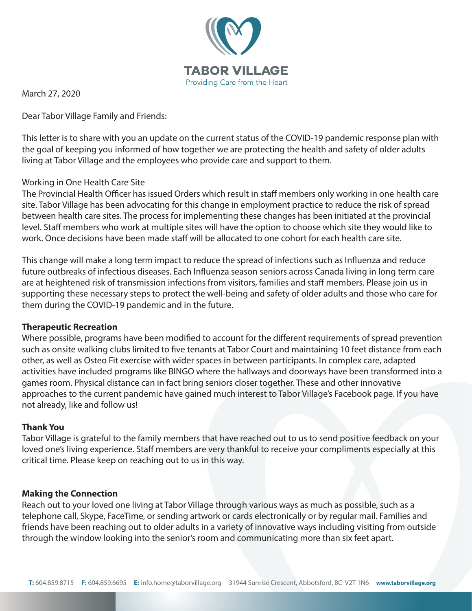

March 27, 2020

Dear Tabor Village Family and Friends:

This letter is to share with you an update on the current status of the COVID-19 pandemic response plan with the goal of keeping you informed of how together we are protecting the health and safety of older adults living at Tabor Village and the employees who provide care and support to them.

# Working in One Health Care Site

The Provincial Health Officer has issued Orders which result in staff members only working in one health care site. Tabor Village has been advocating for this change in employment practice to reduce the risk of spread between health care sites. The process for implementing these changes has been initiated at the provincial level. Staff members who work at multiple sites will have the option to choose which site they would like to work. Once decisions have been made staff will be allocated to one cohort for each health care site.

This change will make a long term impact to reduce the spread of infections such as Influenza and reduce future outbreaks of infectious diseases. Each Influenza season seniors across Canada living in long term care are at heightened risk of transmission infections from visitors, families and staff members. Please join us in supporting these necessary steps to protect the well-being and safety of older adults and those who care for them during the COVID-19 pandemic and in the future.

## **Therapeutic Recreation**

Where possible, programs have been modified to account for the different requirements of spread prevention such as onsite walking clubs limited to five tenants at Tabor Court and maintaining 10 feet distance from each other, as well as Osteo Fit exercise with wider spaces in between participants. In complex care, adapted activities have included programs like BINGO where the hallways and doorways have been transformed into a games room. Physical distance can in fact bring seniors closer together. These and other innovative approaches to the current pandemic have gained much interest to Tabor Village's Facebook page. If you have not already, like and follow us!

## **Thank You**

Tabor Village is grateful to the family members that have reached out to us to send positive feedback on your loved one's living experience. Staff members are very thankful to receive your compliments especially at this critical time. Please keep on reaching out to us in this way.

## **Making the Connection**

Reach out to your loved one living at Tabor Village through various ways as much as possible, such as a telephone call, Skype, FaceTime, or sending artwork or cards electronically or by regular mail. Families and friends have been reaching out to older adults in a variety of innovative ways including visiting from outside through the window looking into the senior's room and communicating more than six feet apart.